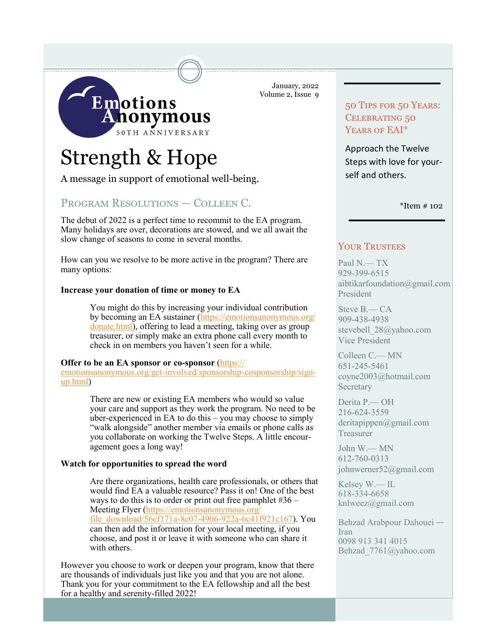

January, 2022 Volume 2, Issue 9

# Strength & Hope

A message in support of emotional well-being.

# PROGRAM RESOLUTIONS — COLLEEN C.

The debut of 2022 is a perfect time to recommit to the EA program. Many holidays are over, decorations are stowed, and we all await the slow change of seasons to come in several months.

How can you we resolve to be more active in the program? There are many options:

#### **Increase your donation of time or money to EA**

You might do this by increasing your individual contribution by becoming an EA sustainer ([https://emotionsanonymous.org/](https://emotionsanonymous.org/donate.html) [donate.html\),](https://emotionsanonymous.org/donate.html) offering to lead a meeting, taking over as group treasurer, or simply make an extra phone call every month to check in on members you haven't seen for a while.

#### **Offer to be an EA sponsor or co-sponsor** [\(https://](https://emotionsanonymous.org/get-involved/sponsorship-cosponsorship/sign-up.html)

[emotionsanonymous.org/get](https://emotionsanonymous.org/get-involved/sponsorship-cosponsorship/sign-up.html)-involved/sponsorship-cosponsorship/sign[up.html\)](https://emotionsanonymous.org/get-involved/sponsorship-cosponsorship/sign-up.html)

> There are new or existing EA members who would so value your care and support as they work the program. No need to be uber-experienced in EA to do this – you may choose to simply "walk alongside" another member via emails or phone calls as you collaborate on working the Twelve Steps. A little encouragement goes a long way!

#### **Watch for opportunities to spread the word**

Are there organizations, health care professionals, or others that would find EA a valuable resource? Pass it on! One of the best ways to do this is to order or print out free pamphlet #36 – Meeting Flyer ([https://emotionsanonymous.org/](https://emotionsanonymous.org/file_download/56cf171a-8c07-4906-922a-6c41f921c167) [file\\_download/56cf171a](https://emotionsanonymous.org/file_download/56cf171a-8c07-4906-922a-6c41f921c167)-8c07-4906-922a-6c41f921c167). You can then add the information for your local meeting, if you choose, and post it or leave it with someone who can share it with others.

However you choose to work or deepen your program, know that there are thousands of individuals just like you and that you are not alone. Thank you for your commitment to the EA fellowship and all the best for a healthy and serenity-filled 2022!

50 Tips for 50 Years: CELEBRATING 50 YEARS OF EAI\*

Approach the Twelve Steps with love for yourself and others.

 $*$ Item  $# 102$ 

#### YOUR TRUSTEES

Paul N.— TX 929-399-6515 aibtikarfoundation@gmail.com President

Steve B.— CA 909-438-4938 stevebell\_28@yahoo.com Vice President

Colleen C.— MN 651-245-5461 coyne2003@hotmail.com **Secretary** 

Derita P.— OH 216-624-3559 deritapippen@gmail.com Treasurer

John W.— MN 612-760-0313 johnwerner52@gmail.com

Kelsey W.— IL 618-334-6658 knlweez@gmail.com

Behzad Arabpour Dahouei — Iran 0098 913 341 4015 Behzad\_7761@yahoo.com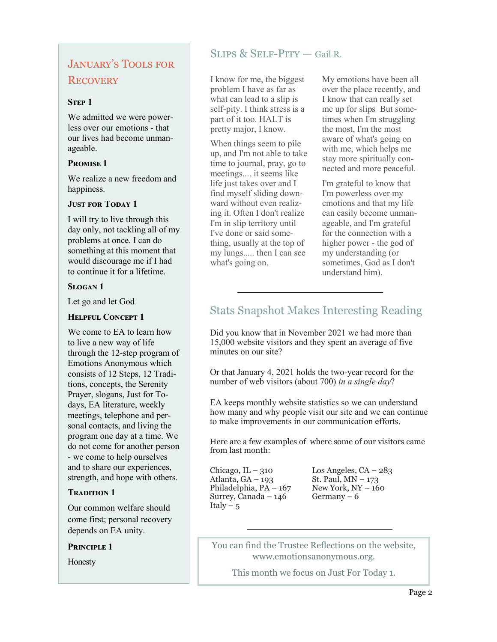# January's Tools for **RECOVERY**

## STEP 1

We admitted we were powerless over our emotions - that our lives had become unmanageable.

## **Promise 1**

We realize a new freedom and happiness.

#### **JUST FOR TODAY 1**

I will try to live through this day only, not tackling all of my problems at once. I can do something at this moment that would discourage me if I had to continue it for a lifetime.

## **Slogan 1**

Let go and let God

## **Helpful Concept 1**

We come to EA to learn how to live a new way of life through the 12-step program of Emotions Anonymous which consists of 12 Steps, 12 Traditions, concepts, the Serenity Prayer, slogans, Just for Todays, EA literature, weekly meetings, telephone and personal contacts, and living the program one day at a time. We do not come for another person - we come to help ourselves and to share our experiences, strength, and hope with others.

## **TRADITION 1**

Our common welfare should come first; personal recovery depends on EA unity.

PRINCIPLE 1

Honesty

# Slips & Self-Pity — Gail R.

I know for me, the biggest problem I have as far as what can lead to a slip is self-pity. I think stress is a part of it too. HALT is pretty major, I know.

When things seem to pile up, and I'm not able to take time to journal, pray, go to meetings.... it seems like life just takes over and I find myself sliding downward without even realizing it. Often I don't realize I'm in slip territory until I've done or said something, usually at the top of my lungs..... then I can see what's going on.

My emotions have been all over the place recently, and I know that can really set me up for slips But sometimes when I'm struggling the most, I'm the most aware of what's going on with me, which helps me stay more spiritually connected and more peaceful.

I'm grateful to know that I'm powerless over my emotions and that my life can easily become unmanageable, and I'm grateful for the connection with a higher power - the god of my understanding (or sometimes, God as I don't understand him).

# Stats Snapshot Makes Interesting Reading

Did you know that in November 2021 we had more than 15,000 website visitors and they spent an average of five minutes on our site?

Or that January 4, 2021 holds the two-year record for the number of web visitors (about 700) *in a single day*?

EA keeps monthly website statistics so we can understand how many and why people visit our site and we can continue to make improvements in our communication efforts.

Here are a few examples of where some of our visitors came from last month:

Chicago, IL – 310 Los Angeles, CA – 283<br>Atlanta, GA – 193 St. Paul, MN – 173 Atlanta, GA – 193 St. Paul, MN – 173 Philadelphia, PA – 167 New York, NY – 160 Surrey, Canada –  $146$  Germany – 6 Italy  $-5$ 

You can find the Trustee Reflections on the website, www.emotionsanonymous.org.

This month we focus on Just For Today 1.